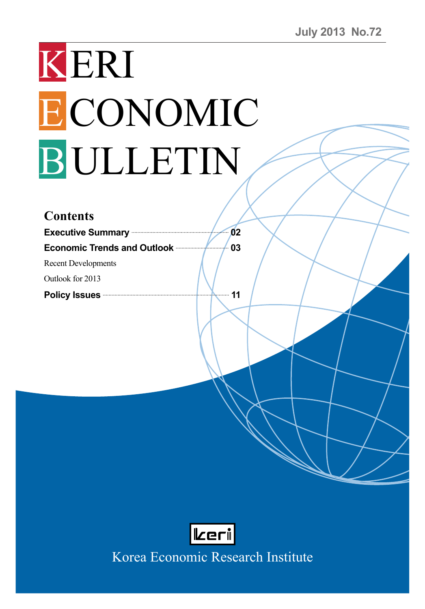# KERI ECONOMIC BULLETIN

| <b>Contents</b>                      |    |
|--------------------------------------|----|
| <b>Executive Summary</b>             | 02 |
| <b>Economic Trends and Outlook -</b> | 03 |
| <b>Recent Developments</b>           |    |
| Outlook for 2013                     |    |
| <b>Policy Issues</b>                 | 11 |
|                                      |    |



Korea Economic Research Institute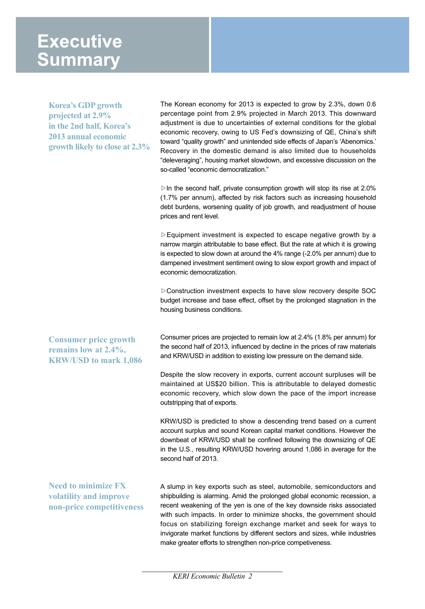## **Executive Summary**

**Korea's GDP growth projected at 2.9% in the 2nd half, Korea's 2013 annual economic growth likely to close at 2.3%** The Korean economy for 2013 is expected to grow by 2.3%, down 0.6 percentage point from 2.9% projected in March 2013. This downward adjustment is due to uncertainties of external conditions for the global economic recovery, owing to US Fed's downsizing of QE, China's shift toward "quality growth" and unintended side effects of Japan's 'Abenomics.' Recovery in the domestic demand is also limited due to households "deleveraging", housing market slowdown, and excessive discussion on the so-called "economic democratization."

 $\triangleright$  In the second half, private consumption growth will stop its rise at 2.0% (1.7% per annum), affected by risk factors such as increasing household debt burdens, worsening quality of job growth, and readjustment of house prices and rent level.

▷Equipment investment is expected to escape negative growth by a narrow margin attributable to base effect. But the rate at which it is growing is expected to slow down at around the 4% range (-2.0% per annum) due to dampened investment sentiment owing to slow export growth and impact of economic democratization.

▷Construction investment expects to have slow recovery despite SOC budget increase and base effect, offset by the prolonged stagnation in the housing business conditions.

**Consumer price growth remains low at 2.4%, KRW/USD to mark 1,086** Consumer prices are projected to remain low at 2.4% (1.8% per annum) for the second half of 2013, influenced by decline in the prices of raw materials and KRW/USD in addition to existing low pressure on the demand side.

Despite the slow recovery in exports, current account surpluses will be maintained at US\$20 billion. This is attributable to delayed domestic economic recovery, which slow down the pace of the import increase outstripping that of exports.

KRW/USD is predicted to show a descending trend based on a current account surplus and sound Korean capital market conditions. However the downbeat of KRW/USD shall be confined following the downsizing of QE in the U.S., resulting KRW/USD hovering around 1,086 in average for the second half of 2013.

**Need to minimize FX volatility and improve non-price competitiveness** A slump in key exports such as steel, automobile, semiconductors and shipbuilding is alarming. Amid the prolonged global economic recession, a recent weakening of the yen is one of the key downside risks associated with such impacts. In order to minimize shocks, the government should focus on stabilizing foreign exchange market and seek for ways to invigorate market functions by different sectors and sizes, while industries make greater efforts to strengthen non-price competiveness.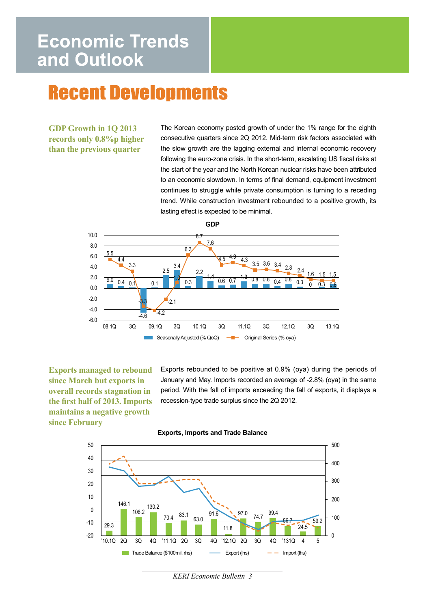# **Economic Trends** and Outlook

# **Recent Developments**

### **GDP Growth in 1Q 2013 records only 0.8%p higher than the previous quarter**

The Korean economy posted growth of under the 1% range for the eighth consecutive quarters since 2Q 2012. Mid-term risk factors associated with the slow growth are the lagging external and internal economic recovery following the euro-zone crisis. In the short-term, escalating US fiscal risks at the start of the year and the North Korean nuclear risks have been attributed to an economic slowdown. In terms of final demand, equipment investment continues to struggle while private consumption is turning to a receding trend. While construction investment rebounded to a positive growth, its lasting effect is expected to be minimal.

**GDP**



**Exports managed to rebound since March but exports in overall records stagnation in the first half of 2013. Imports maintains a negative growth since February**

Exports rebounded to be positive at 0.9% (oya) during the periods of January and May. Imports recorded an average of -2.8% (oya) in the same period. With the fall of imports exceeding the fall of exports, it displays a recession-type trade surplus since the 2Q 2012.





*KERI Economic Bulletin 3*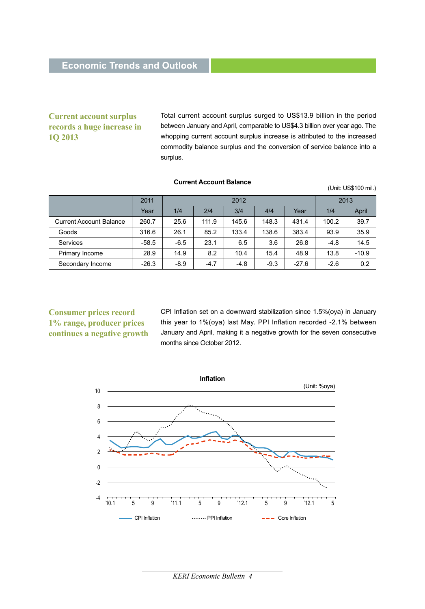### **Current account surplus records a huge increase in 1Q 2013**

Total current account surplus surged to US\$13.9 billion in the period between January and April, comparable to US\$4.3 billion over year ago. The whopping current account surplus increase is attributed to the increased commodity balance surplus and the conversion of service balance into a surplus.

(Unit: US\$100 mil.)

|                                | 2011    | 2012   |        |        | 2013   |         |        |         |
|--------------------------------|---------|--------|--------|--------|--------|---------|--------|---------|
|                                | Year    | 1/4    | 2/4    | 3/4    | 4/4    | Year    | 1/4    | April   |
| <b>Current Account Balance</b> | 260.7   | 25.6   | 111.9  | 145.6  | 148.3  | 431.4   | 100.2  | 39.7    |
| Goods                          | 316.6   | 26.1   | 85.2   | 133.4  | 138.6  | 383.4   | 93.9   | 35.9    |
| Services                       | $-58.5$ | $-6.5$ | 23.1   | 6.5    | 3.6    | 26.8    | $-4.8$ | 14.5    |
| Primary Income                 | 28.9    | 14.9   | 8.2    | 10.4   | 15.4   | 48.9    | 13.8   | $-10.9$ |
| Secondary Income               | $-26.3$ | $-8.9$ | $-4.7$ | $-4.8$ | $-9.3$ | $-27.6$ | $-2.6$ | 0.2     |

#### **Current Account Balance**

**Consumer prices record 1% range, producer prices continues a negative growth** CPI Inflation set on a downward stabilization since 1.5%(oya) in January this year to 1%(oya) last May. PPI Inflation recorded -2.1% between January and April, making it a negative growth for the seven consecutive months since October 2012.

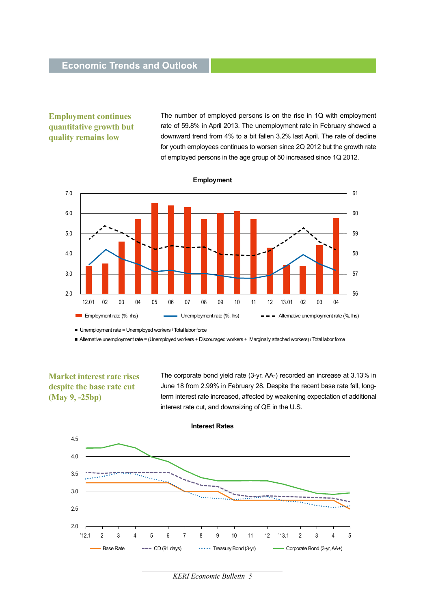### **Employment continues quantitative growth but quality remains low**

The number of employed persons is on the rise in 1Q with employment rate of 59.8% in April 2013. The unemployment rate in February showed a downward trend from 4% to a bit fallen 3.2% last April. The rate of decline for youth employees continues to worsen since 2Q 2012 but the growth rate of employed persons in the age group of 50 increased since 1Q 2012.



**Employment**

■ Unemployment rate = Unemployed workers / Total labor force

■ Alternative unemployment rate = (Unemployed workers + Discouraged workers + Marginally attached workers) / Total labor force

**Market interest rate rises despite the base rate cut (May 9, -25bp)**

The corporate bond yield rate (3-yr, AA-) recorded an increase at 3.13% in June 18 from 2.99% in February 28. Despite the recent base rate fall, longterm interest rate increased, affected by weakening expectation of additional interest rate cut, and downsizing of QE in the U.S.



*KERI Economic Bulletin 5*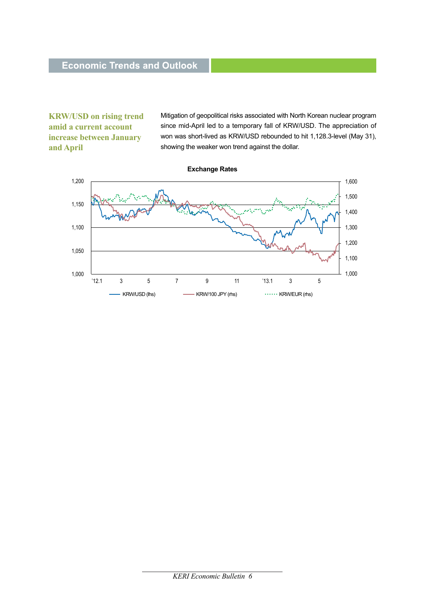**KRW/USD on rising trend amid a current account increase between January and April**

Mitigation of geopolitical risks associated with North Korean nuclear program since mid-April led to a temporary fall of KRW/USD. The appreciation of won was short-lived as KRW/USD rebounded to hit 1,128.3-level (May 31), showing the weaker won trend against the dollar.



#### *KERI Economic Bulletin 6*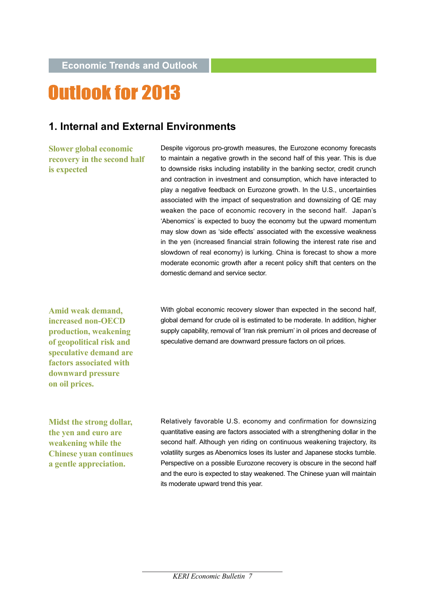# **Outlook for 2013**

### **1. Internal and External Environments**

**Slower global economic recovery in the second half is expected** 

Despite vigorous pro-growth measures, the Eurozone economy forecasts to maintain a negative growth in the second half of this year. This is due to downside risks including instability in the banking sector, credit crunch and contraction in investment and consumption, which have interacted to play a negative feedback on Eurozone growth. In the U.S., uncertainties associated with the impact of sequestration and downsizing of QE may weaken the pace of economic recovery in the second half. Japan's 'Abenomics' is expected to buoy the economy but the upward momentum may slow down as 'side effects' associated with the excessive weakness in the yen (increased financial strain following the interest rate rise and slowdown of real economy) is lurking. China is forecast to show a more moderate economic growth after a recent policy shift that centers on the domestic demand and service sector.

**Amid weak demand, increased non-OECD production, weakening of geopolitical risk and speculative demand are factors associated with downward pressure on oil prices.**

With global economic recovery slower than expected in the second half, global demand for crude oil is estimated to be moderate. In addition, higher supply capability, removal of 'Iran risk premium' in oil prices and decrease of speculative demand are downward pressure factors on oil prices.

**Midst the strong dollar, the yen and euro are weakening while the Chinese yuan continues a gentle appreciation.**

Relatively favorable U.S. economy and confirmation for downsizing quantitative easing are factors associated with a strengthening dollar in the second half. Although yen riding on continuous weakening trajectory, its volatility surges as Abenomics loses its luster and Japanese stocks tumble. Perspective on a possible Eurozone recovery is obscure in the second half and the euro is expected to stay weakened. The Chinese yuan will maintain its moderate upward trend this year.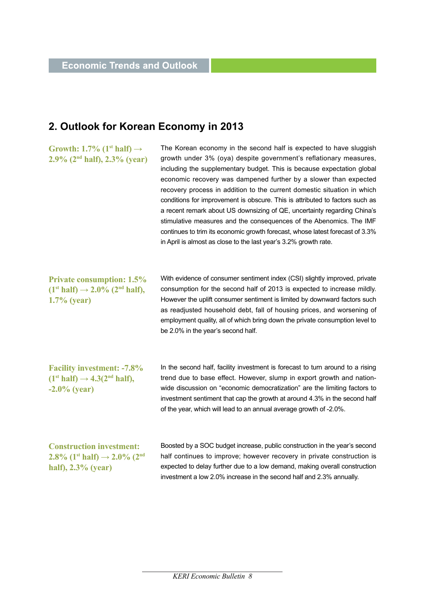### **2. Outlook for Korean Economy in 2013**

**Growth: 1.7% (1st** half)  $\rightarrow$ **2.9% (2nd half), 2.3% (year)** 

The Korean economy in the second half is expected to have sluggish growth under 3% (oya) despite government's reflationary measures, including the supplementary budget. This is because expectation global economic recovery was dampened further by a slower than expected recovery process in addition to the current domestic situation in which conditions for improvement is obscure. This is attributed to factors such as a recent remark about US downsizing of QE, uncertainty regarding China's stimulative measures and the consequences of the Abenomics. The IMF continues to trim its economic growth forecast, whose latest forecast of 3.3% in April is almost as close to the last year's 3.2% growth rate.

**Private consumption: 1.5%**   $(1<sup>st</sup> half) \rightarrow 2.0\%$   $(2<sup>nd</sup> half)$ , **1.7% (year)**

With evidence of consumer sentiment index (CSI) slightly improved, private consumption for the second half of 2013 is expected to increase mildly. However the uplift consumer sentiment is limited by downward factors such as readjusted household debt, fall of housing prices, and worsening of employment quality, all of which bring down the private consumption level to be 2.0% in the year's second half.

**Facility investment: -7.8%**   $(1<sup>st</sup> half) \rightarrow 4.3(2<sup>nd</sup> half)$ , **-2.0% (year)**

In the second half, facility investment is forecast to turn around to a rising trend due to base effect. However, slump in export growth and nationwide discussion on "economic democratization" are the limiting factors to investment sentiment that cap the growth at around 4.3% in the second half of the year, which will lead to an annual average growth of -2.0%.

**Construction investment: 2.8%** (1<sup>st</sup>**half**) → 2.0% (2<sup>nd</sup> **half), 2.3% (year)**

Boosted by a SOC budget increase, public construction in the year's second half continues to improve; however recovery in private construction is expected to delay further due to a low demand, making overall construction investment a low 2.0% increase in the second half and 2.3% annually.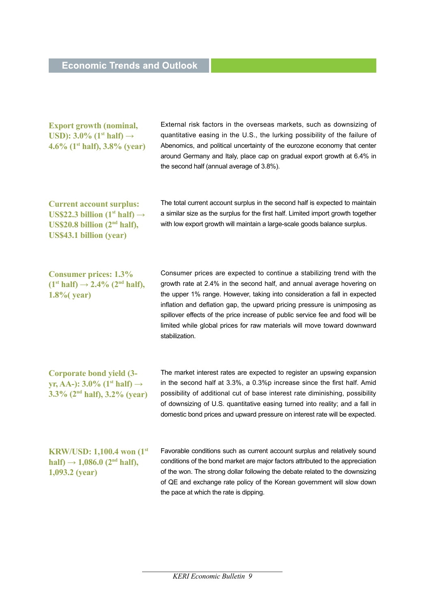| <b>Export growth (nominal,</b><br>USD): $3.0\%$ (1 <sup>st</sup> half) $\rightarrow$<br>4.6% $(1st half), 3.8% (year)$                                        | External risk factors in the overseas markets, such as downsizing of<br>quantitative easing in the U.S., the lurking possibility of the failure of<br>Abenomics, and political uncertainty of the eurozone economy that center<br>around Germany and Italy, place cap on gradual export growth at 6.4% in<br>the second half (annual average of 3.8%).                                                                                                                                   |
|---------------------------------------------------------------------------------------------------------------------------------------------------------------|------------------------------------------------------------------------------------------------------------------------------------------------------------------------------------------------------------------------------------------------------------------------------------------------------------------------------------------------------------------------------------------------------------------------------------------------------------------------------------------|
| <b>Current account surplus:</b><br>US\$22.3 billion (1 <sup>st</sup> half) $\rightarrow$<br>US\$20.8 billion $(2nd half)$ ,<br><b>US\$43.1 billion (year)</b> | The total current account surplus in the second half is expected to maintain<br>a similar size as the surplus for the first half. Limited import growth together<br>with low export growth will maintain a large-scale goods balance surplus.                                                                                                                                                                                                                                            |
| <b>Consumer prices: 1.3%</b><br>$(1st half) \rightarrow 2.4\%$ (2 <sup>nd</sup> half),<br>$1.8\%$ (year)                                                      | Consumer prices are expected to continue a stabilizing trend with the<br>growth rate at 2.4% in the second half, and annual average hovering on<br>the upper 1% range. However, taking into consideration a fall in expected<br>inflation and deflation gap, the upward pricing pressure is unimposing as<br>spillover effects of the price increase of public service fee and food will be<br>limited while global prices for raw materials will move toward downward<br>stabilization. |
| <b>Corporate bond yield (3-</b><br>yr, AA-): $3.0\%$ (1 <sup>st</sup> half) $\rightarrow$<br>$3.3\%$ (2 <sup>nd</sup> half), $3.2\%$ (year)                   | The market interest rates are expected to register an upswing expansion<br>in the second half at 3.3%, a 0.3%p increase since the first half. Amid<br>possibility of additional cut of base interest rate diminishing, possibility<br>of downsizing of U.S. quantitative easing turned into reality; and a fall in<br>domestic bond prices and upward pressure on interest rate will be expected.                                                                                        |
| <b>KRW/USD: 1,100.4 won (1st)</b><br>half) $\rightarrow$ 1,086.0 (2 <sup>nd</sup> half),<br>$1,093.2$ (year)                                                  | Favorable conditions such as current account surplus and relatively sound<br>conditions of the bond market are major factors attributed to the appreciation<br>of the won. The strong dollar following the debate related to the downsizing<br>of QE and exchange rate policy of the Korean government will slow down<br>the pace at which the rate is dipping.                                                                                                                          |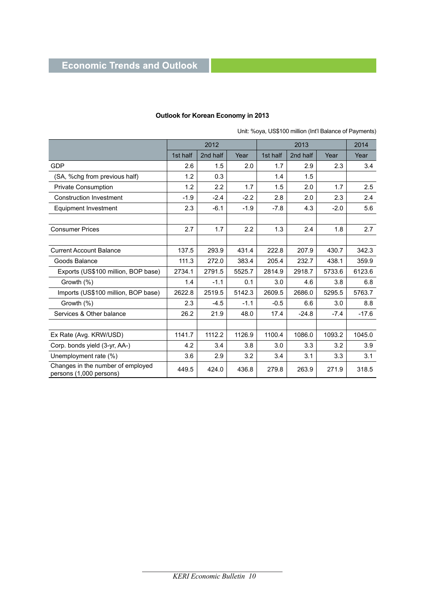### **Economic Trends and Outlook**

|                                                              | 2012     |          |        |          | 2014     |        |         |
|--------------------------------------------------------------|----------|----------|--------|----------|----------|--------|---------|
|                                                              | 1st half | 2nd half | Year   | 1st half | 2nd half | Year   | Year    |
| <b>GDP</b>                                                   | 2.6      | 1.5      | 2.0    | 1.7      | 2.9      | 2.3    | 3.4     |
| (SA, %chq from previous half)                                | 1.2      | 0.3      |        | 1.4      | 1.5      |        |         |
| <b>Private Consumption</b>                                   | 1.2      | 2.2      | 1.7    | 1.5      | 2.0      | 1.7    | 2.5     |
| <b>Construction Investment</b>                               | $-1.9$   | $-2.4$   | $-2.2$ | 2.8      | 2.0      | 2.3    | 2.4     |
| Equipment Investment                                         | 2.3      | $-6.1$   | $-1.9$ | $-7.8$   | 4.3      | $-2.0$ | 5.6     |
|                                                              |          |          |        |          |          |        |         |
| <b>Consumer Prices</b>                                       | 2.7      | 1.7      | 2.2    | 1.3      | 2.4      | 1.8    | 2.7     |
|                                                              |          |          |        |          |          |        |         |
| <b>Current Account Balance</b>                               | 137.5    | 293.9    | 431.4  | 222.8    | 207.9    | 430.7  | 342.3   |
| Goods Balance                                                | 111.3    | 272.0    | 383.4  | 205.4    | 232.7    | 438.1  | 359.9   |
| Exports (US\$100 million, BOP base)                          | 2734.1   | 2791.5   | 5525.7 | 2814.9   | 2918.7   | 5733.6 | 6123.6  |
| Growth (%)                                                   | 1.4      | $-1.1$   | 0.1    | 3.0      | 4.6      | 3.8    | 6.8     |
| Imports (US\$100 million, BOP base)                          | 2622.8   | 2519.5   | 5142.3 | 2609.5   | 2686.0   | 5295.5 | 5763.7  |
| Growth (%)                                                   | 2.3      | $-4.5$   | $-1.1$ | $-0.5$   | 6.6      | 3.0    | 8.8     |
| Services & Other balance                                     | 26.2     | 21.9     | 48.0   | 17.4     | $-24.8$  | $-7.4$ | $-17.6$ |
|                                                              |          |          |        |          |          |        |         |
| Ex Rate (Avg. KRW/USD)                                       | 1141.7   | 1112.2   | 1126.9 | 1100.4   | 1086.0   | 1093.2 | 1045.0  |
| Corp. bonds yield (3-yr, AA-)                                | 4.2      | 3.4      | 3.8    | 3.0      | 3.3      | 3.2    | 3.9     |
| Unemployment rate (%)                                        | 3.6      | 2.9      | 3.2    | 3.4      | 3.1      | 3.3    | 3.1     |
| Changes in the number of employed<br>persons (1,000 persons) | 449.5    | 424.0    | 436.8  | 279.8    | 263.9    | 271.9  | 318.5   |

#### **Outlook for Korean Economy in 2013**

Unit: %oya, US\$100 million (Int'l Balance of Payments)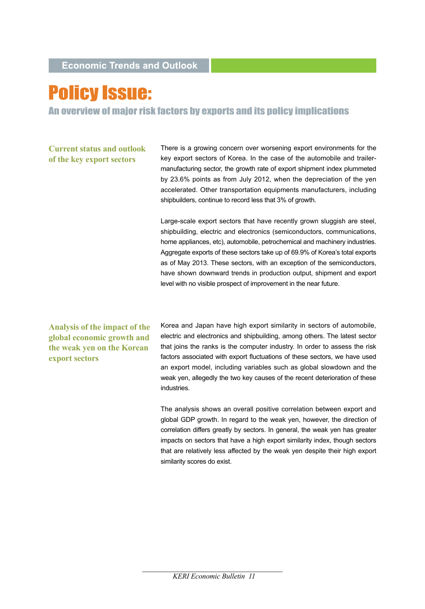# **Policy Issue:**

An overview of major risk factors by exports and its policy implications

**Current status and outlook of the key export sectors**

There is a growing concern over worsening export environments for the key export sectors of Korea. In the case of the automobile and trailermanufacturing sector, the growth rate of export shipment index plummeted by 23.6% points as from July 2012, when the depreciation of the yen accelerated. Other transportation equipments manufacturers, including shipbuilders, continue to record less that 3% of growth.

Large-scale export sectors that have recently grown sluggish are steel, shipbuilding, electric and electronics (semiconductors, communications, home appliances, etc), automobile, petrochemical and machinery industries. Aggregate exports of these sectors take up of 69.9% of Korea's total exports as of May 2013. These sectors, with an exception of the semiconductors, have shown downward trends in production output, shipment and export level with no visible prospect of improvement in the near future.

**Analysis of the impact of the global economic growth and the weak yen on the Korean export sectors** 

Korea and Japan have high export similarity in sectors of automobile, electric and electronics and shipbuilding, among others. The latest sector that joins the ranks is the computer industry. In order to assess the risk factors associated with export fluctuations of these sectors, we have used an export model, including variables such as global slowdown and the weak yen, allegedly the two key causes of the recent deterioration of these industries.

The analysis shows an overall positive correlation between export and global GDP growth. In regard to the weak yen, however, the direction of correlation differs greatly by sectors. In general, the weak yen has greater impacts on sectors that have a high export similarity index, though sectors that are relatively less affected by the weak yen despite their high export similarity scores do exist.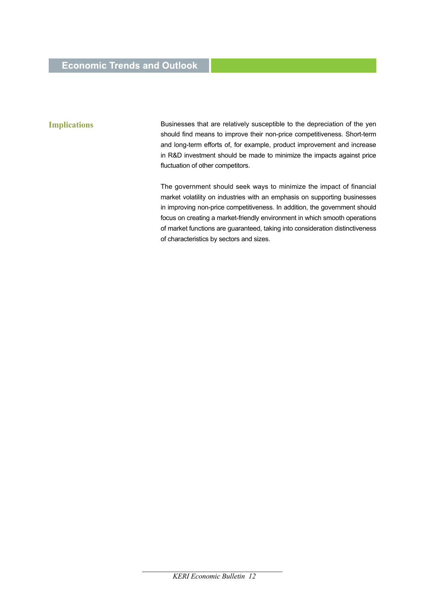### **Economic Trends and Outlook**

#### **Implications**

Businesses that are relatively susceptible to the depreciation of the yen should find means to improve their non-price competitiveness. Short-term and long-term efforts of, for example, product improvement and increase in R&D investment should be made to minimize the impacts against price fluctuation of other competitors.

The government should seek ways to minimize the impact of financial market volatility on industries with an emphasis on supporting businesses in improving non-price competitiveness. In addition, the government should focus on creating a market-friendly environment in which smooth operations of market functions are guaranteed, taking into consideration distinctiveness of characteristics by sectors and sizes.